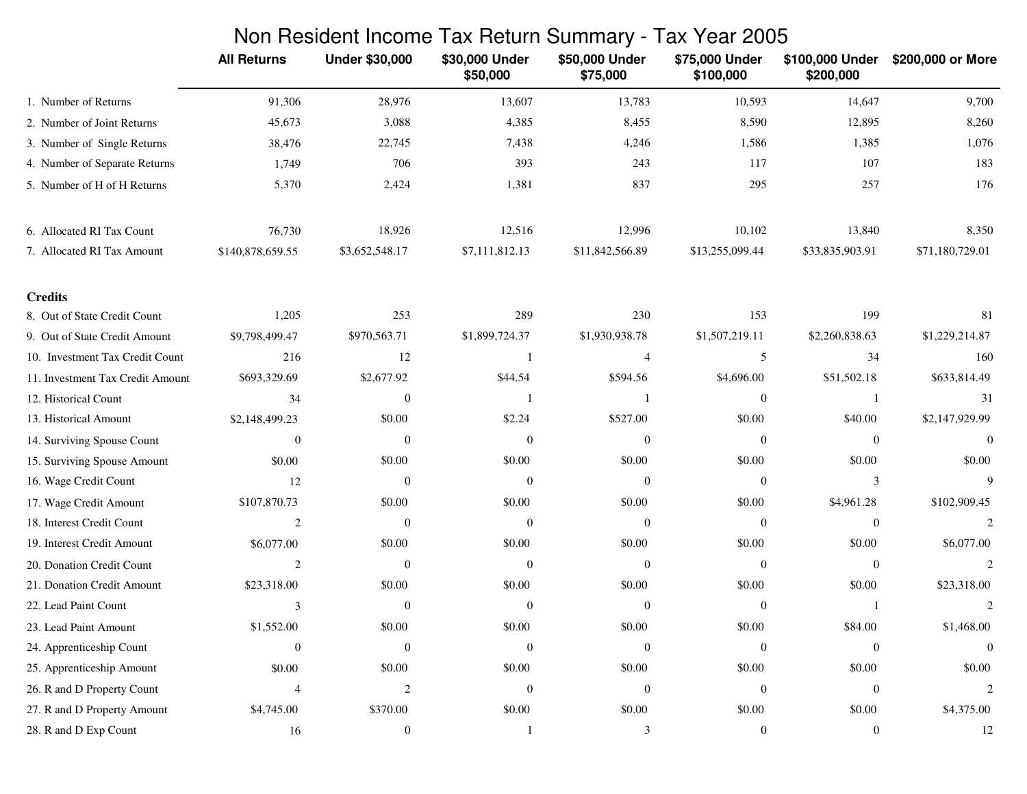|                                  | Non Resident Income Tax Return Summary - Tax Year 2005 |                       |                            |                            |                             |                              |                   |
|----------------------------------|--------------------------------------------------------|-----------------------|----------------------------|----------------------------|-----------------------------|------------------------------|-------------------|
|                                  | <b>All Returns</b>                                     | <b>Under \$30,000</b> | \$30,000 Under<br>\$50,000 | \$50,000 Under<br>\$75,000 | \$75,000 Under<br>\$100,000 | \$100,000 Under<br>\$200,000 | \$200,000 or More |
| 1. Number of Returns             | 91,306                                                 | 28,976                | 13,607                     | 13,783                     | 10,593                      | 14,647                       | 9,700             |
| 2. Number of Joint Returns       | 45,673                                                 | 3,088                 | 4,385                      | 8,455                      | 8,590                       | 12,895                       | 8,260             |
| 3. Number of Single Returns      | 38,476                                                 | 22,745                | 7,438                      | 4,246                      | 1,586                       | 1,385                        | 1,076             |
| 4. Number of Separate Returns    | 1,749                                                  | 706                   | 393                        | 243                        | 117                         | 107                          | 183               |
| 5. Number of H of H Returns      | 5,370                                                  | 2,424                 | 1,381                      | 837                        | 295                         | 257                          | 176               |
| 6. Allocated RI Tax Count        | 76,730                                                 | 18,926                | 12,516                     | 12,996                     | 10,102                      | 13,840                       | 8,350             |
| 7. Allocated RI Tax Amount       | \$140,878,659.55                                       | \$3,652,548.17        | \$7,111,812.13             | \$11,842,566.89            | \$13,255,099.44             | \$33,835,903.91              | \$71,180,729.01   |
| <b>Credits</b>                   |                                                        |                       |                            |                            |                             |                              |                   |
| 8. Out of State Credit Count     | 1,205                                                  | 253                   | 289                        | 230                        | 153                         | 199                          | 81                |
| 9. Out of State Credit Amount    | \$9,798,499.47                                         | \$970,563.71          | \$1,899,724.37             | \$1,930,938.78             | \$1,507,219.11              | \$2,260,838.63               | \$1,229,214.87    |
| 10. Investment Tax Credit Count  | 216                                                    | 12                    |                            | 4                          | 5                           | 34                           | 160               |
| 11. Investment Tax Credit Amount | \$693,329.69                                           | \$2,677.92            | \$44.54                    | \$594.56                   | \$4,696.00                  | \$51,502.18                  | \$633,814.49      |
| 12. Historical Count             | 34                                                     | $\boldsymbol{0}$      |                            |                            | $\mathbf{0}$                | $\mathbf{1}$                 | 31                |
| 13. Historical Amount            | \$2,148,499.23                                         | \$0.00                | \$2.24                     | \$527.00                   | \$0.00                      | \$40.00                      | \$2,147,929.99    |
| 14. Surviving Spouse Count       | $\theta$                                               | $\theta$              | $\theta$                   | $\Omega$                   | $\theta$                    | $\mathbf{0}$                 | $\theta$          |
| 15. Surviving Spouse Amount      | \$0.00                                                 | \$0.00                | \$0.00                     | \$0.00                     | \$0.00                      | \$0.00                       | \$0.00            |
| 16. Wage Credit Count            | 12                                                     | $\mathbf{0}$          | $\theta$                   | $\theta$                   | $\overline{0}$              | 3                            | 9                 |
| 17. Wage Credit Amount           | \$107,870.73                                           | \$0.00                | \$0.00                     | \$0.00                     | \$0.00                      | \$4,961.28                   | \$102,909.45      |
| 18. Interest Credit Count        | $\overline{2}$                                         | $\mathbf{0}$          | $\theta$                   | $\mathbf{0}$               | $\overline{0}$              | $\mathbf{0}$                 | $\overline{2}$    |
| 19. Interest Credit Amount       | \$6,077.00                                             | \$0.00                | \$0.00                     | \$0.00                     | \$0.00                      | \$0.00                       | \$6,077.00        |
| 20. Donation Credit Count        | $\overline{c}$                                         | $\theta$              | $\theta$                   | $\Omega$                   | $\theta$                    | $\overline{0}$               | $\overline{2}$    |
| 21. Donation Credit Amount       | \$23,318.00                                            | \$0.00                | \$0.00                     | \$0.00                     | \$0.00                      | \$0.00                       | \$23,318.00       |
| 22. Lead Paint Count             | 3                                                      | $\overline{0}$        | $\bf{0}$                   | $\overline{0}$             | $\overline{0}$              | -1                           | $\overline{c}$    |
| 23. Lead Paint Amount            | \$1,552.00                                             | \$0.00                | \$0.00                     | \$0.00                     | \$0.00                      | \$84.00                      | \$1,468.00        |
| 24. Apprenticeship Count         | $\overline{0}$                                         | $\boldsymbol{0}$      | $\mathbf{0}$               | $\mathbf{0}$               | $\mathbf{0}$                | $\boldsymbol{0}$             | $\theta$          |
| 25. Apprenticeship Amount        | \$0.00                                                 | \$0.00                | \$0.00                     | \$0.00                     | \$0.00                      | \$0.00                       | \$0.00            |
| 26. R and D Property Count       | $\overline{4}$                                         | 2                     | $\Omega$                   | $\mathbf{0}$               | $\overline{0}$              | $\boldsymbol{0}$             | $\overline{c}$    |
| 27. R and D Property Amount      | \$4,745.00                                             | \$370.00              | \$0.00                     | \$0.00                     | \$0.00                      | \$0.00                       | \$4,375.00        |
| 28. R and D Exp Count            | 16                                                     | $\boldsymbol{0}$      |                            | 3                          | $\boldsymbol{0}$            | $\boldsymbol{0}$             | 12                |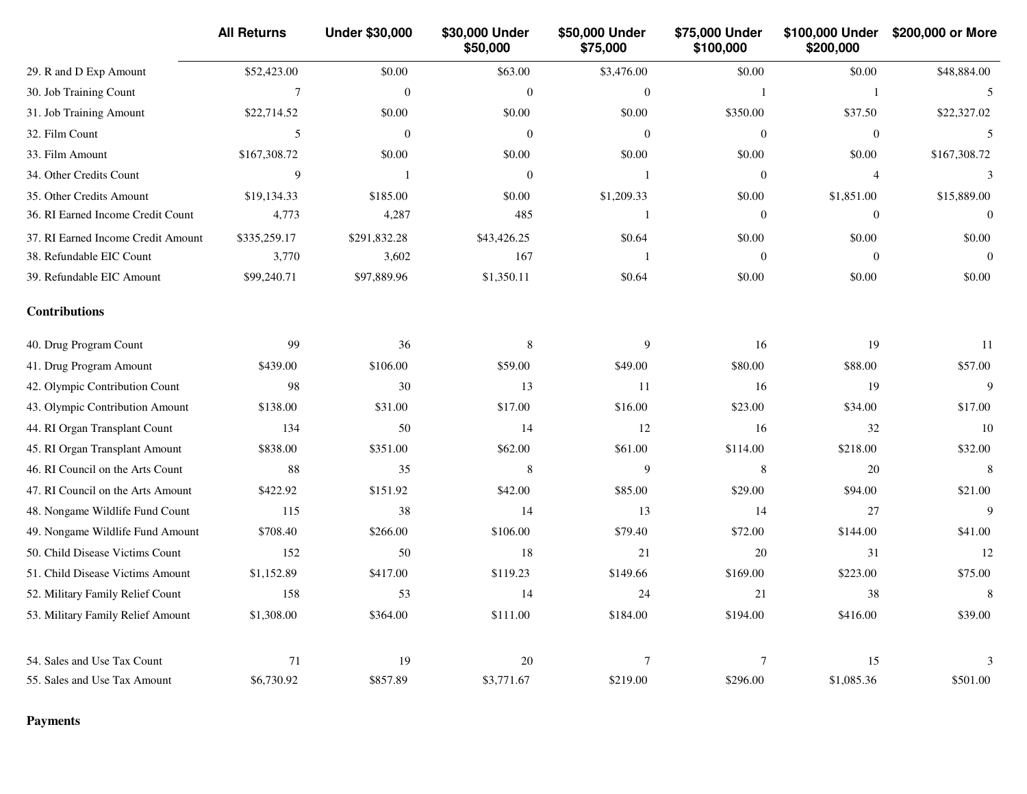|                                    | <b>All Returns</b> | <b>Under \$30,000</b> | \$30,000 Under<br>\$50,000 | \$50,000 Under<br>\$75,000 | \$75,000 Under<br>\$100,000 | \$100,000 Under<br>\$200,000 | \$200,000 or More |
|------------------------------------|--------------------|-----------------------|----------------------------|----------------------------|-----------------------------|------------------------------|-------------------|
| 29. R and D Exp Amount             | \$52,423.00        | \$0.00                | \$63.00                    | \$3,476.00                 | \$0.00                      | \$0.00                       | \$48,884.00       |
| 30. Job Training Count             | $\overline{7}$     | $\mathbf{0}$          | $\mathbf{0}$               | $\theta$                   | -1                          | $\mathbf{1}$                 | 5                 |
| 31. Job Training Amount            | \$22,714.52        | \$0.00                | \$0.00                     | \$0.00                     | \$350.00                    | \$37.50                      | \$22,327.02       |
| 32. Film Count                     | $\sqrt{5}$         | $\mathbf{0}$          | $\boldsymbol{0}$           | $\mathbf{0}$               | $\mathbf{0}$                | $\boldsymbol{0}$             | 5                 |
| 33. Film Amount                    | \$167,308.72       | \$0.00                | \$0.00                     | \$0.00                     | \$0.00                      | \$0.00                       | \$167,308.72      |
| 34. Other Credits Count            | 9                  | 1                     | $\mathbf{0}$               | $\mathbf{1}$               | $\mathbf{0}$                | $\overline{4}$               | 3                 |
| 35. Other Credits Amount           | \$19,134.33        | \$185.00              | \$0.00                     | \$1,209.33                 | \$0.00                      | \$1,851.00                   | \$15,889.00       |
| 36. RI Earned Income Credit Count  | 4,773              | 4,287                 | 485                        | $\mathbf{1}$               | $\theta$                    | $\mathbf{0}$                 | $\Omega$          |
| 37. RI Earned Income Credit Amount | \$335,259.17       | \$291,832.28          | \$43,426.25                | \$0.64                     | \$0.00                      | \$0.00                       | \$0.00            |
| 38. Refundable EIC Count           | 3,770              | 3,602                 | 167                        | $\mathbf{1}$               | $\boldsymbol{0}$            | $\boldsymbol{0}$             | $\overline{0}$    |
| 39. Refundable EIC Amount          | \$99,240.71        | \$97,889.96           | \$1,350.11                 | \$0.64                     | \$0.00                      | \$0.00                       | \$0.00            |
| <b>Contributions</b>               |                    |                       |                            |                            |                             |                              |                   |
| 40. Drug Program Count             | 99                 | 36                    | $\,$ 8 $\,$                | 9                          | 16                          | 19                           | 11                |
| 41. Drug Program Amount            | \$439.00           | \$106.00              | \$59.00                    | \$49.00                    | \$80.00                     | \$88.00                      | \$57.00           |
| 42. Olympic Contribution Count     | 98                 | 30                    | 13                         | 11                         | 16                          | 19                           | 9                 |
| 43. Olympic Contribution Amount    | \$138.00           | \$31.00               | \$17.00                    | \$16.00                    | \$23.00                     | \$34.00                      | \$17.00           |
| 44. RI Organ Transplant Count      | 134                | 50                    | 14                         | 12                         | 16                          | 32                           | 10                |
| 45. RI Organ Transplant Amount     | \$838.00           | \$351.00              | \$62.00                    | \$61.00                    | \$114.00                    | \$218.00                     | \$32.00           |
| 46. RI Council on the Arts Count   | 88                 | 35                    | 8                          | 9                          | 8                           | 20                           | 8                 |
| 47. RI Council on the Arts Amount  | \$422.92           | \$151.92              | \$42.00                    | \$85.00                    | \$29.00                     | \$94.00                      | \$21.00           |
| 48. Nongame Wildlife Fund Count    | 115                | 38                    | 14                         | 13                         | 14                          | 27                           | 9                 |
| 49. Nongame Wildlife Fund Amount   | \$708.40           | \$266.00              | \$106.00                   | \$79.40                    | \$72.00                     | \$144.00                     | \$41.00           |
| 50. Child Disease Victims Count    | 152                | 50                    | 18                         | 21                         | 20                          | 31                           | 12                |
| 51. Child Disease Victims Amount   | \$1,152.89         | \$417.00              | \$119.23                   | \$149.66                   | \$169.00                    | \$223.00                     | \$75.00           |
| 52. Military Family Relief Count   | 158                | 53                    | 14                         | 24                         | 21                          | 38                           | 8                 |
| 53. Military Family Relief Amount  | \$1,308.00         | \$364.00              | \$111.00                   | \$184.00                   | \$194.00                    | \$416.00                     | \$39.00           |
| 54. Sales and Use Tax Count        | 71                 | 19                    | 20                         | $\overline{7}$             | $\tau$                      | 15                           | 3                 |
| 55. Sales and Use Tax Amount       | \$6,730.92         | \$857.89              | \$3,771.67                 | \$219.00                   | \$296.00                    | \$1,085.36                   | \$501.00          |

**Payments**